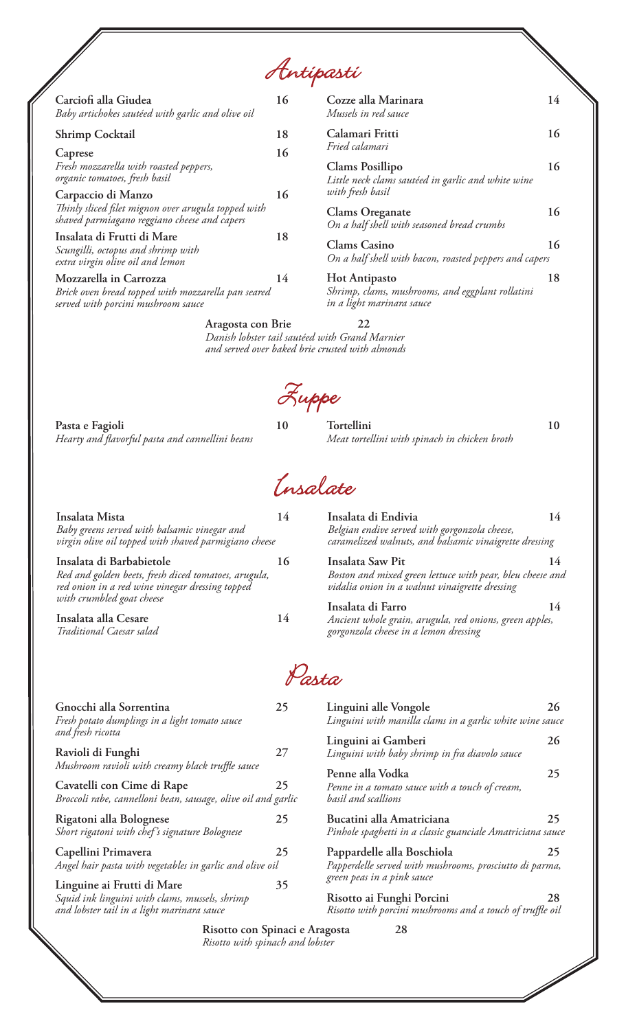Antipasti

| Carciofi alla Giudea<br>Baby artichokes sautéed with garlic and olive oil                                                 | 16 |
|---------------------------------------------------------------------------------------------------------------------------|----|
| <b>Shrimp Cocktail</b>                                                                                                    | 18 |
| Caprese<br>Fresh mozzarella with roasted peppers,<br>organic tomatoes, fresh basil                                        | 16 |
| Carpaccio di Manzo<br>Thinly sliced filet mignon over arugula topped with<br>shaved parmiagano reggiano cheese and capers | 16 |
| Insalata di Frutti di Mare<br>Scungilli, octopus and shrimp with<br>extra virgin olive oil and lemon                      | 18 |
| Mozzarella in Carrozza<br>Brick oven bread topped with mozzarella pan seared<br>served with porcini mushroom sauce        | 14 |

| Cozze alla Marinara<br>Mussels in red sauce                                                           | 14 |
|-------------------------------------------------------------------------------------------------------|----|
| Calamari Fritti<br>Fried calamari                                                                     | 16 |
| <b>Clams Posillipo</b><br>Little neck clams sautéed in garlic and white wine<br>with fresh basil      | 16 |
| <b>Clams Oreganate</b><br>On a half shell with seasoned bread crumbs                                  | 16 |
| Clams Casino<br>On a half shell with bacon, roasted peppers and capers                                | 16 |
| <b>Hot Antipasto</b><br>Shrimp, clams, mushrooms, and eggplant rollatini<br>in a light marinara sauce | 18 |

**Aragosta con Brie 22** *Danish lobster tail sautéed with Grand Marnier and served over baked brie crusted with almonds*

**Pasta e Fagioli 10** *Hearty and flavorful pasta and cannellini beans*

| Luppe |                                                             |    |
|-------|-------------------------------------------------------------|----|
| 10    | Tortellini<br>Meat tortellini with spinach in chicken broth | 10 |

Insalate

| 14 | Insalata di Endivia<br>Belgian endive served with gorgonzola cheese,<br>caramelized walnuts, and balsamic vinaigrette dressing  | 14    |  |
|----|---------------------------------------------------------------------------------------------------------------------------------|-------|--|
| 16 | Insalata Saw Pit<br>Boston and mixed green lettuce with pear, bleu cheese and<br>vidalia onion in a walnut vinaigrette dressing | 14    |  |
| 14 | Insalata di Farro<br>Ancient whole grain, arugula, red onions, green apples,<br>gorgonzola cheese in a lemon dressing           | 14    |  |
|    |                                                                                                                                 |       |  |
| 25 | Linguini alle Vongole<br>Linguini with manilla clams in a garlic white wine sauce                                               | 26    |  |
| 27 | Linguini ai Gamberi<br>Linguini with baby shrimp in fra diavolo sauce                                                           | 26    |  |
|    | virgin olive oil topped with shaved parmigiano cheese                                                                           | Parta |  |

| Cavatelli con Cime di Rape<br>Broccoli rabe, cannelloni bean, sausage, olive oil and garlic | 25 |
|---------------------------------------------------------------------------------------------|----|
| Rigatoni alla Bolognese<br>Short rigatoni with chef's signature Bolognese                   | 25 |
| Capellini Primavera<br>Angel hair pasta with vegetables in garlic and olive oil             | 25 |
| Linguine ai Frutti di Mare                                                                  |    |

*Squid ink linguini with clams, mussels, shrimp and lobster tail in a light marinara sauce*

> **Risotto con Spinaci e Aragosta 28** *Risotto with spinach and lobster*

*green peas in a pink sauce*

*basil and scallions*

**Penne alla Vodka 25**

**Bucatini alla Amatriciana 25** *Pinhole spaghetti in a classic guanciale Amatriciana sauce*

**Pappardelle alla Boschiola 25** *Papperdelle served with mushrooms, prosciutto di parma,* 

**Risotto ai Funghi Porcini 28** *Risotto with porcini mushrooms and a touch of truffle oil*

 $\sqrt{2}$ 

*Penne in a tomato sauce with a touch of cream,*